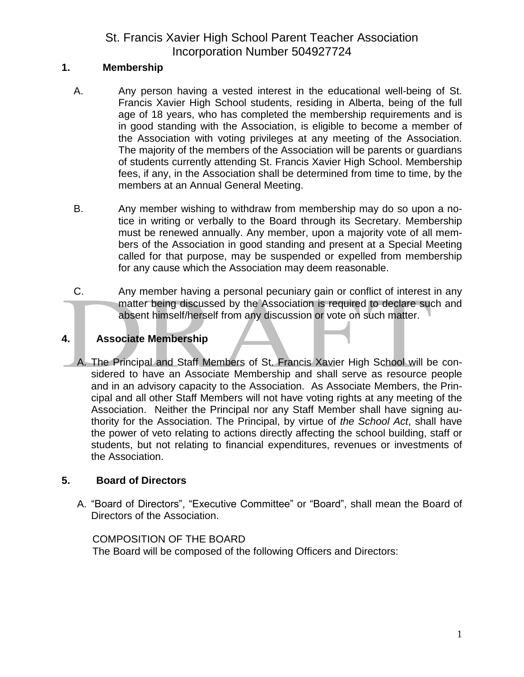## **1. Membership**

- A. Any person having a vested interest in the educational well-being of St. Francis Xavier High School students, residing in Alberta, being of the full age of 18 years, who has completed the membership requirements and is in good standing with the Association, is eligible to become a member of the Association with voting privileges at any meeting of the Association. The majority of the members of the Association will be parents or guardians of students currently attending St. Francis Xavier High School. Membership fees, if any, in the Association shall be determined from time to time, by the members at an Annual General Meeting.
- B. Any member wishing to withdraw from membership may do so upon a notice in writing or verbally to the Board through its Secretary. Membership must be renewed annually. Any member, upon a majority vote of all members of the Association in good standing and present at a Special Meeting called for that purpose, may be suspended or expelled from membership for any cause which the Association may deem reasonable.
- C. Any member having a personal pecuniary gain or conflict of interest in any matter being discussed by the Association is required to declare such and absent himself/herself from any discussion or vote on such matter.

## **4. Associate Membership**

A. The Principal and Staff Members of St. Francis Xavier High School will be considered to have an Associate Membership and shall serve as resource people and in an advisory capacity to the Association. As Associate Members, the Principal and all other Staff Members will not have voting rights at any meeting of the Association. Neither the Principal nor any Staff Member shall have signing authority for the Association. The Principal, by virtue of *the School Act*, shall have the power of veto relating to actions directly affecting the school building, staff or students, but not relating to financial expenditures, revenues or investments of the Association.

## **5. Board of Directors**

A. "Board of Directors", "Executive Committee" or "Board", shall mean the Board of Directors of the Association.

### COMPOSITION OF THE BOARD

The Board will be composed of the following Officers and Directors: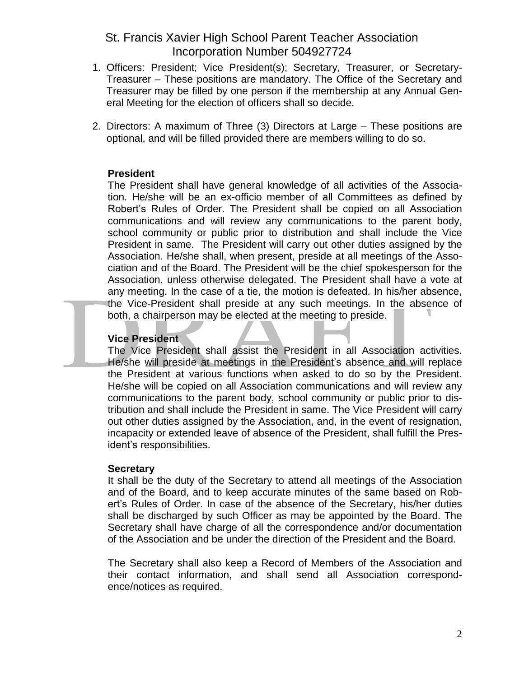- 1. Officers: President; Vice President(s); Secretary, Treasurer, or Secretary-Treasurer – These positions are mandatory. The Office of the Secretary and Treasurer may be filled by one person if the membership at any Annual General Meeting for the election of officers shall so decide.
- 2. Directors: A maximum of Three (3) Directors at Large These positions are optional, and will be filled provided there are members willing to do so.

#### **President**

The President shall have general knowledge of all activities of the Association. He/she will be an ex-officio member of all Committees as defined by Robert's Rules of Order. The President shall be copied on all Association communications and will review any communications to the parent body, school community or public prior to distribution and shall include the Vice President in same. The President will carry out other duties assigned by the Association. He/she shall, when present, preside at all meetings of the Association and of the Board. The President will be the chief spokesperson for the Association, unless otherwise delegated. The President shall have a vote at any meeting. In the case of a tie, the motion is defeated. In his/her absence, the Vice-President shall preside at any such meetings. In the absence of both, a chairperson may be elected at the meeting to preside.

#### **Vice President**

The Vice President shall assist the President in all Association activities. He/she will preside at meetings in the President's absence and will replace the President at various functions when asked to do so by the President. He/she will be copied on all Association communications and will review any communications to the parent body, school community or public prior to distribution and shall include the President in same. The Vice President will carry out other duties assigned by the Association, and, in the event of resignation, incapacity or extended leave of absence of the President, shall fulfill the President's responsibilities.

#### **Secretary**

It shall be the duty of the Secretary to attend all meetings of the Association and of the Board, and to keep accurate minutes of the same based on Robert's Rules of Order. In case of the absence of the Secretary, his/her duties shall be discharged by such Officer as may be appointed by the Board. The Secretary shall have charge of all the correspondence and/or documentation of the Association and be under the direction of the President and the Board.

The Secretary shall also keep a Record of Members of the Association and their contact information, and shall send all Association correspondence/notices as required.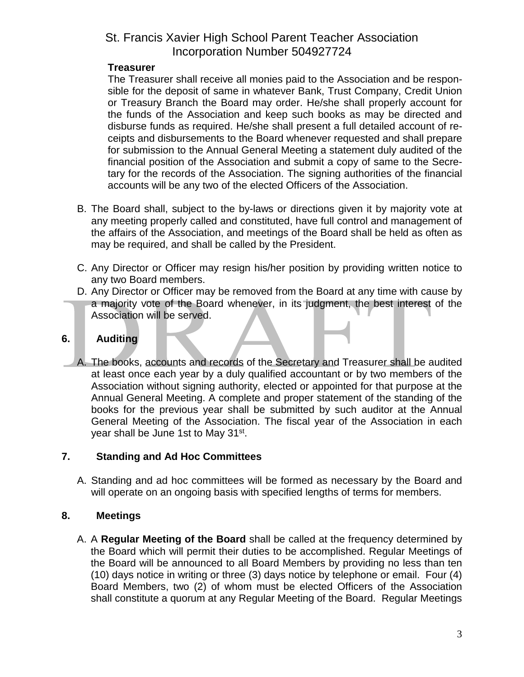### **Treasurer**

The Treasurer shall receive all monies paid to the Association and be responsible for the deposit of same in whatever Bank, Trust Company, Credit Union or Treasury Branch the Board may order. He/she shall properly account for the funds of the Association and keep such books as may be directed and disburse funds as required. He/she shall present a full detailed account of receipts and disbursements to the Board whenever requested and shall prepare for submission to the Annual General Meeting a statement duly audited of the financial position of the Association and submit a copy of same to the Secretary for the records of the Association. The signing authorities of the financial accounts will be any two of the elected Officers of the Association.

- B. The Board shall, subject to the by-laws or directions given it by majority vote at any meeting properly called and constituted, have full control and management of the affairs of the Association, and meetings of the Board shall be held as often as may be required, and shall be called by the President.
- C. Any Director or Officer may resign his/her position by providing written notice to any two Board members.
- D. Any Director or Officer may be removed from the Board at any time with cause by a majority vote of the Board whenever, in its judgment, the best interest of the Association will be served.

## **6. Auditing**

A. The books, accounts and records of the Secretary and Treasurer shall be audited at least once each year by a duly qualified accountant or by two members of the Association without signing authority, elected or appointed for that purpose at the Annual General Meeting. A complete and proper statement of the standing of the books for the previous year shall be submitted by such auditor at the Annual General Meeting of the Association. The fiscal year of the Association in each year shall be June 1st to May 31st.

## **7. Standing and Ad Hoc Committees**

A. Standing and ad hoc committees will be formed as necessary by the Board and will operate on an ongoing basis with specified lengths of terms for members.

## **8. Meetings**

A. A **Regular Meeting of the Board** shall be called at the frequency determined by the Board which will permit their duties to be accomplished. Regular Meetings of the Board will be announced to all Board Members by providing no less than ten (10) days notice in writing or three (3) days notice by telephone or email. Four (4) Board Members, two (2) of whom must be elected Officers of the Association shall constitute a quorum at any Regular Meeting of the Board. Regular Meetings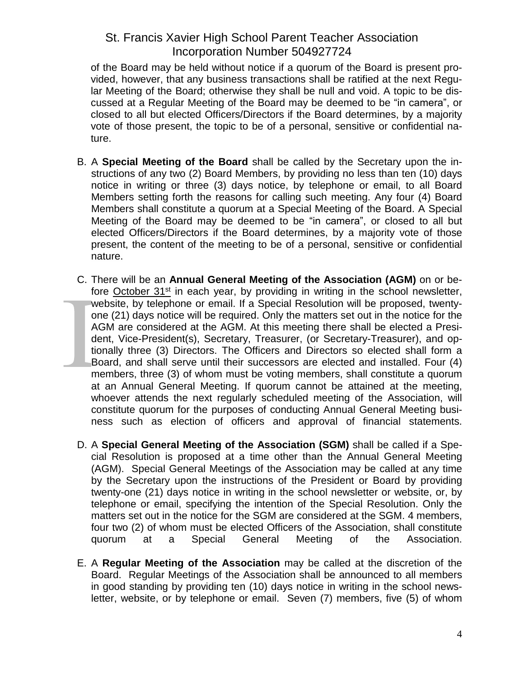of the Board may be held without notice if a quorum of the Board is present provided, however, that any business transactions shall be ratified at the next Regular Meeting of the Board; otherwise they shall be null and void. A topic to be discussed at a Regular Meeting of the Board may be deemed to be "in camera", or closed to all but elected Officers/Directors if the Board determines, by a majority vote of those present, the topic to be of a personal, sensitive or confidential nature.

- B. A **Special Meeting of the Board** shall be called by the Secretary upon the instructions of any two (2) Board Members, by providing no less than ten (10) days notice in writing or three (3) days notice, by telephone or email, to all Board Members setting forth the reasons for calling such meeting. Any four (4) Board Members shall constitute a quorum at a Special Meeting of the Board. A Special Meeting of the Board may be deemed to be "in camera", or closed to all but elected Officers/Directors if the Board determines, by a majority vote of those present, the content of the meeting to be of a personal, sensitive or confidential nature.
- C. There will be an **Annual General Meeting of the Association (AGM)** on or before October 31<sup>st</sup> in each year, by providing in writing in the school newsletter, website, by telephone or email. If a Special Resolution will be proposed, twentyone (21) days notice will be required. Only the matters set out in the notice for the AGM are considered at the AGM. At this meeting there shall be elected a President, Vice-President(s), Secretary, Treasurer, (or Secretary-Treasurer), and optionally three (3) Directors. The Officers and Directors so elected shall form a Board, and shall serve until their successors are elected and installed. Four (4) members, three (3) of whom must be voting members, shall constitute a quorum at an Annual General Meeting. If quorum cannot be attained at the meeting, whoever attends the next regularly scheduled meeting of the Association, will constitute quorum for the purposes of conducting Annual General Meeting business such as election of officers and approval of financial statements.
- D. A **Special General Meeting of the Association (SGM)** shall be called if a Special Resolution is proposed at a time other than the Annual General Meeting (AGM). Special General Meetings of the Association may be called at any time by the Secretary upon the instructions of the President or Board by providing twenty-one (21) days notice in writing in the school newsletter or website, or, by telephone or email, specifying the intention of the Special Resolution. Only the matters set out in the notice for the SGM are considered at the SGM. 4 members, four two (2) of whom must be elected Officers of the Association, shall constitute quorum at a Special General Meeting of the Association.
- E. A **Regular Meeting of the Association** may be called at the discretion of the Board. Regular Meetings of the Association shall be announced to all members in good standing by providing ten (10) days notice in writing in the school newsletter, website, or by telephone or email. Seven (7) members, five (5) of whom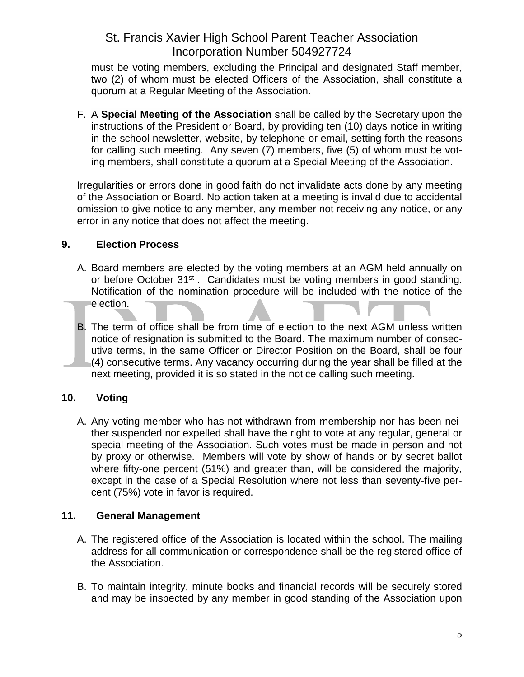must be voting members, excluding the Principal and designated Staff member, two (2) of whom must be elected Officers of the Association, shall constitute a quorum at a Regular Meeting of the Association.

F. A **Special Meeting of the Association** shall be called by the Secretary upon the instructions of the President or Board, by providing ten (10) days notice in writing in the school newsletter, website, by telephone or email, setting forth the reasons for calling such meeting. Any seven (7) members, five (5) of whom must be voting members, shall constitute a quorum at a Special Meeting of the Association.

Irregularities or errors done in good faith do not invalidate acts done by any meeting of the Association or Board. No action taken at a meeting is invalid due to accidental omission to give notice to any member, any member not receiving any notice, or any error in any notice that does not affect the meeting.

## **9. Election Process**

- A. Board members are elected by the voting members at an AGM held annually on or before October 31<sup>st</sup>. Candidates must be voting members in good standing. Notification of the nomination procedure will be included with the notice of the election.
- B. The term of office shall be from time of election to the next AGM unless written notice of resignation is submitted to the Board. The maximum number of consecutive terms, in the same Officer or Director Position on the Board, shall be four (4) consecutive terms. Any vacancy occurring during the year shall be filled at the next meeting, provided it is so stated in the notice calling such meeting.

## **10. Voting**

A. Any voting member who has not withdrawn from membership nor has been neither suspended nor expelled shall have the right to vote at any regular, general or special meeting of the Association. Such votes must be made in person and not by proxy or otherwise. Members will vote by show of hands or by secret ballot where fifty-one percent (51%) and greater than, will be considered the majority, except in the case of a Special Resolution where not less than seventy-five percent (75%) vote in favor is required.

## **11. General Management**

- A. The registered office of the Association is located within the school. The mailing address for all communication or correspondence shall be the registered office of the Association.
- B. To maintain integrity, minute books and financial records will be securely stored and may be inspected by any member in good standing of the Association upon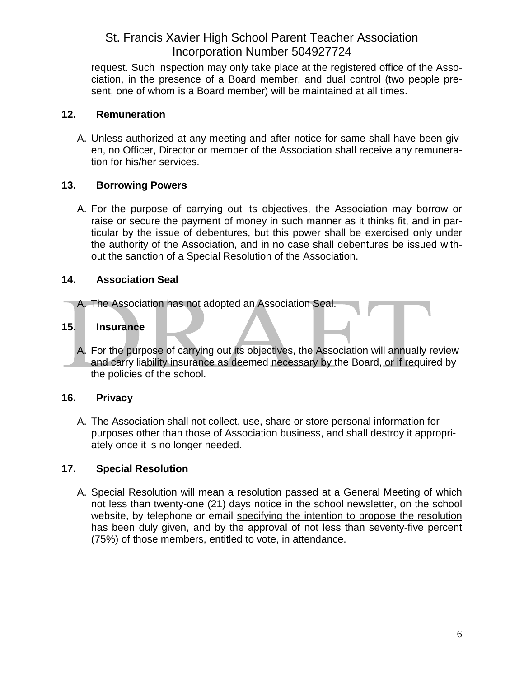request. Such inspection may only take place at the registered office of the Association, in the presence of a Board member, and dual control (two people present, one of whom is a Board member) will be maintained at all times.

### **12. Remuneration**

A. Unless authorized at any meeting and after notice for same shall have been given, no Officer, Director or member of the Association shall receive any remuneration for his/her services.

## **13. Borrowing Powers**

A. For the purpose of carrying out its objectives, the Association may borrow or raise or secure the payment of money in such manner as it thinks fit, and in particular by the issue of debentures, but this power shall be exercised only under the authority of the Association, and in no case shall debentures be issued without the sanction of a Special Resolution of the Association.

### **14. Association Seal**

A. The Association has not adopted an Association Seal.

### **15. Insurance**

A. For the purpose of carrying out its objectives, the Association will annually review and carry liability insurance as deemed necessary by the Board, or if required by the policies of the school.

## **16. Privacy**

A. The Association shall not collect, use, share or store personal information for purposes other than those of Association business, and shall destroy it appropriately once it is no longer needed.

## **17. Special Resolution**

A. Special Resolution will mean a resolution passed at a General Meeting of which not less than twenty-one (21) days notice in the school newsletter, on the school website, by telephone or email specifying the intention to propose the resolution has been duly given, and by the approval of not less than seventy-five percent (75%) of those members, entitled to vote, in attendance.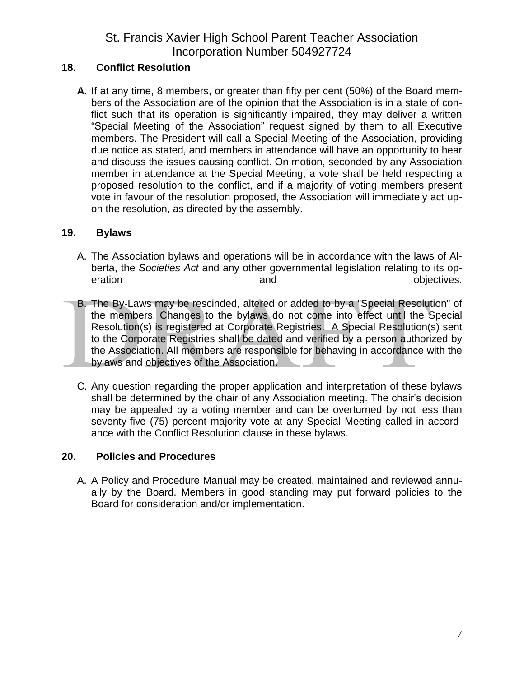### **18. Conflict Resolution**

**A.** If at any time, 8 members, or greater than fifty per cent (50%) of the Board members of the Association are of the opinion that the Association is in a state of conflict such that its operation is significantly impaired, they may deliver a written "Special Meeting of the Association" request signed by them to all Executive members. The President will call a Special Meeting of the Association, providing due notice as stated, and members in attendance will have an opportunity to hear and discuss the issues causing conflict. On motion, seconded by any Association member in attendance at the Special Meeting, a vote shall be held respecting a proposed resolution to the conflict, and if a majority of voting members present vote in favour of the resolution proposed, the Association will immediately act upon the resolution, as directed by the assembly.

### **19. Bylaws**

- A. The Association bylaws and operations will be in accordance with the laws of Alberta, the *Societies Act* and any other governmental legislation relating to its operation and objectives.
- B. The By-Laws may be rescinded, altered or added to by a "Special Resolution" of the members. Changes to the bylaws do not come into effect until the Special Resolution(s) is registered at Corporate Registries. A Special Resolution(s) sent to the Corporate Registries shall be dated and verified by a person authorized by the Association. All members are responsible for behaving in accordance with the bylaws and objectives of the Association.
- C. Any question regarding the proper application and interpretation of these bylaws shall be determined by the chair of any Association meeting. The chair's decision may be appealed by a voting member and can be overturned by not less than seventy-five (75) percent majority vote at any Special Meeting called in accordance with the Conflict Resolution clause in these bylaws.

### **20. Policies and Procedures**

A. A Policy and Procedure Manual may be created, maintained and reviewed annually by the Board. Members in good standing may put forward policies to the Board for consideration and/or implementation.